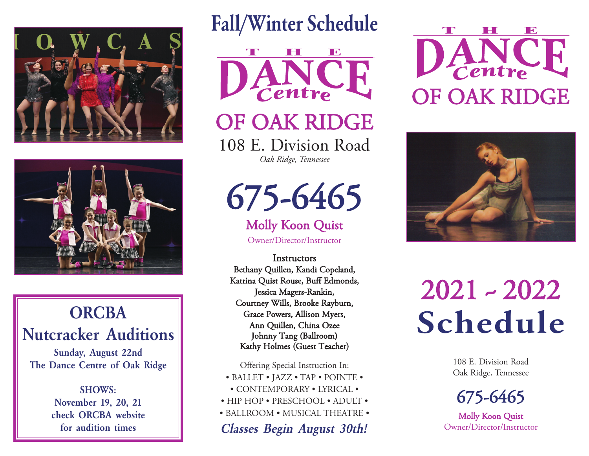



## **ORCBA** Nutcracker Auditions

Sunday, August 22nd The Dance Centre of Oak Ridge

> SHOWS: November 19, 20, 21 check ORCBA website for audition times

## Fall/Winter Schedule



# OF OAK RIDGE

108 E. Division Road *Oak Ridge, Tennessee*

675-6465

## Molly Koon Quist

Owner/Director/Instructor

**Instructors** Bethany Quillen, Kandi Copeland, Katrina Quist Rouse, Buff Edmonds, Jessica Magers-Rankin, Courtney Wills, Brooke Rayburn, Grace Powers, Allison Myers, Ann Quillen, China Ozee Johnny Tang (Ballroom) Kathy Holmes (Guest Teacher)

Offering Special Instruction In:

- BALLET JAZZ TAP POINTE • CONTEMPORARY • LYRICAL •
- HIP HOP PRESCHOOL ADULT •
- BALLROOM MUSICAL THEATRE •

Classes Begin August 30th!





2021 ~ 2022 Schedule

> 108 E. Division Road Oak Ridge, Tennessee



Molly Koon Quist Owner/Director/Instructor